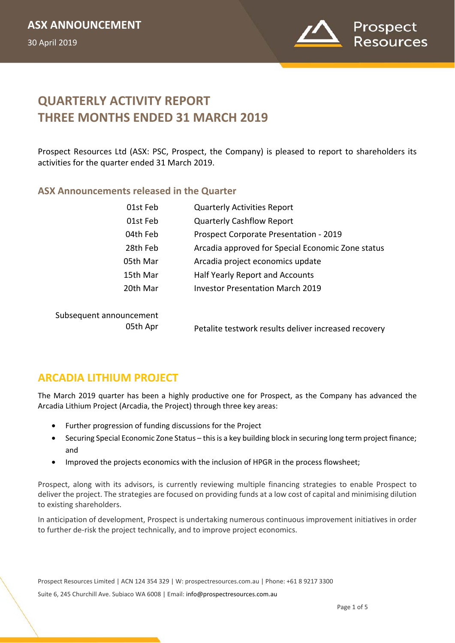

# **QUARTERLY ACTIVITY REPORT THREE MONTHS ENDED 31 MARCH 2019**

Prospect Resources Ltd (ASX: PSC, Prospect, the Company) is pleased to report to shareholders its activities for the quarter ended 31 March 2019.

#### **ASX Announcements released in the Quarter**

| 01st Feb                            | <b>Quarterly Activities Report</b>                   |
|-------------------------------------|------------------------------------------------------|
| 01st Feb                            | <b>Quarterly Cashflow Report</b>                     |
| 04th Feb                            | Prospect Corporate Presentation - 2019               |
| 28th Feb                            | Arcadia approved for Special Economic Zone status    |
| 05th Mar                            | Arcadia project economics update                     |
| 15th Mar                            | Half Yearly Report and Accounts                      |
| 20th Mar                            | <b>Investor Presentation March 2019</b>              |
| Subsequent announcement<br>05th Apr | Petalite testwork results deliver increased recovery |

### **ARCADIA LITHIUM PROJECT**

The March 2019 quarter has been a highly productive one for Prospect, as the Company has advanced the Arcadia Lithium Project (Arcadia, the Project) through three key areas:

- Further progression of funding discussions for the Project
- Securing Special Economic Zone Status this is a key building block in securing long term project finance; and
- Improved the projects economics with the inclusion of HPGR in the process flowsheet;

Prospect, along with its advisors, is currently reviewing multiple financing strategies to enable Prospect to deliver the project. The strategies are focused on providing funds at a low cost of capital and minimising dilution to existing shareholders.

In anticipation of development, Prospect is undertaking numerous continuous improvement initiatives in order to further de-risk the project technically, and to improve project economics.

Prospect Resources Limited | ACN 124 354 329 | W: prospectresources.com.au | Phone: +61 8 9217 3300 Suite 6, 245 Churchill Ave. Subiaco WA 6008 | Email: info@prospectresources.com.au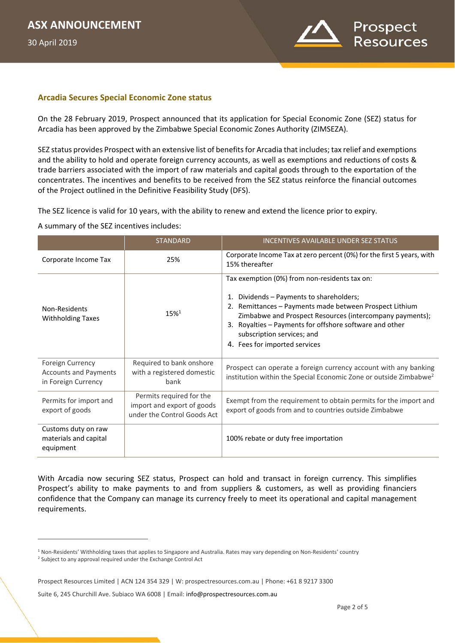30 April 2019

 $\overline{a}$ 



#### **Arcadia Secures Special Economic Zone status**

On the 28 February 2019, Prospect announced that its application for Special Economic Zone (SEZ) status for Arcadia has been approved by the Zimbabwe Special Economic Zones Authority (ZIMSEZA).

SEZ status provides Prospect with an extensive list of benefits for Arcadia that includes; tax relief and exemptions and the ability to hold and operate foreign currency accounts, as well as exemptions and reductions of costs & trade barriers associated with the import of raw materials and capital goods through to the exportation of the concentrates. The incentives and benefits to be received from the SEZ status reinforce the financial outcomes of the Project outlined in the Definitive Feasibility Study (DFS).

The SEZ licence is valid for 10 years, with the ability to renew and extend the licence prior to expiry.

A summary of the SEZ incentives includes:

|                                                                         | <b>STANDARD</b>                                                                       | <b>INCENTIVES AVAILABLE UNDER SEZ STATUS</b>                                                                                                                                                                                                                                                                                               |
|-------------------------------------------------------------------------|---------------------------------------------------------------------------------------|--------------------------------------------------------------------------------------------------------------------------------------------------------------------------------------------------------------------------------------------------------------------------------------------------------------------------------------------|
| Corporate Income Tax                                                    | 25%                                                                                   | Corporate Income Tax at zero percent (0%) for the first 5 years, with<br>15% thereafter                                                                                                                                                                                                                                                    |
| Non-Residents<br><b>Withholding Taxes</b>                               | 15%1                                                                                  | Tax exemption (0%) from non-residents tax on:<br>1. Dividends – Payments to shareholders;<br>2. Remittances - Payments made between Prospect Lithium<br>Zimbabwe and Prospect Resources (intercompany payments);<br>3. Royalties - Payments for offshore software and other<br>subscription services; and<br>4. Fees for imported services |
| Foreign Currency<br><b>Accounts and Payments</b><br>in Foreign Currency | Required to bank onshore<br>with a registered domestic<br>bank                        | Prospect can operate a foreign currency account with any banking<br>institution within the Special Economic Zone or outside Zimbabwe <sup>2</sup>                                                                                                                                                                                          |
| Permits for import and<br>export of goods                               | Permits required for the<br>import and export of goods<br>under the Control Goods Act | Exempt from the requirement to obtain permits for the import and<br>export of goods from and to countries outside Zimbabwe                                                                                                                                                                                                                 |
| Customs duty on raw<br>materials and capital<br>equipment               |                                                                                       | 100% rebate or duty free importation                                                                                                                                                                                                                                                                                                       |

With Arcadia now securing SEZ status, Prospect can hold and transact in foreign currency. This simplifies Prospect's ability to make payments to and from suppliers & customers, as well as providing financiers confidence that the Company can manage its currency freely to meet its operational and capital management requirements.

<sup>&</sup>lt;sup>1</sup> Non-Residents' Withholding taxes that applies to Singapore and Australia. Rates may vary depending on Non-Residents' country <sup>2</sup> Subject to any approval required under the Exchange Control Act

Prospect Resources Limited | ACN 124 354 329 | W: prospectresources.com.au | Phone: +61 8 9217 3300

Suite 6, 245 Churchill Ave. Subiaco WA 6008 | Email: info@prospectresources.com.au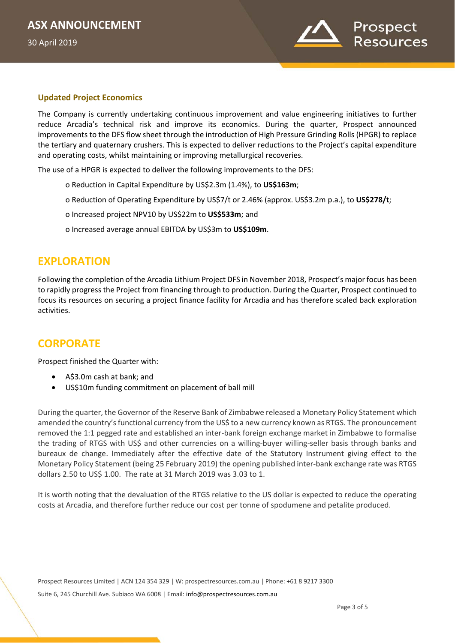30 April 2019



#### **Updated Project Economics**

The Company is currently undertaking continuous improvement and value engineering initiatives to further reduce Arcadia's technical risk and improve its economics. During the quarter, Prospect announced improvements to the DFS flow sheet through the introduction of High Pressure Grinding Rolls (HPGR) to replace the tertiary and quaternary crushers. This is expected to deliver reductions to the Project's capital expenditure and operating costs, whilst maintaining or improving metallurgical recoveries.

The use of a HPGR is expected to deliver the following improvements to the DFS:

- o Reduction in Capital Expenditure by US\$2.3m (1.4%), to **US\$163m**;
- o Reduction of Operating Expenditure by US\$7/t or 2.46% (approx. US\$3.2m p.a.), to **US\$278/t**;
- o Increased project NPV10 by US\$22m to **US\$533m**; and
- o Increased average annual EBITDA by US\$3m to **US\$109m**.

### **EXPLORATION**

Following the completion of the Arcadia Lithium Project DFS in November 2018, Prospect's major focus has been to rapidly progress the Project from financing through to production. During the Quarter, Prospect continued to focus its resources on securing a project finance facility for Arcadia and has therefore scaled back exploration activities.

# **CORPORATE**

Prospect finished the Quarter with:

- A\$3.0m cash at bank; and
- US\$10m funding commitment on placement of ball mill

During the quarter, the Governor of the Reserve Bank of Zimbabwe released a Monetary Policy Statement which amended the country's functional currency from the US\$ to a new currency known as RTGS. The pronouncement removed the 1:1 pegged rate and established an inter-bank foreign exchange market in Zimbabwe to formalise the trading of RTGS with US\$ and other currencies on a willing-buyer willing-seller basis through banks and bureaux de change. Immediately after the effective date of the Statutory Instrument giving effect to the Monetary Policy Statement (being 25 February 2019) the opening published inter-bank exchange rate was RTGS dollars 2.50 to US\$ 1.00. The rate at 31 March 2019 was 3.03 to 1.

It is worth noting that the devaluation of the RTGS relative to the US dollar is expected to reduce the operating costs at Arcadia, and therefore further reduce our cost per tonne of spodumene and petalite produced.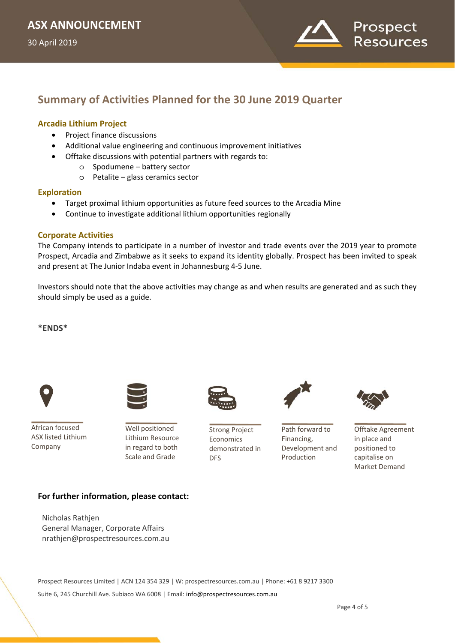

# **Summary of Activities Planned for the 30 June 2019 Quarter**

#### **Arcadia Lithium Project**

- Project finance discussions
- Additional value engineering and continuous improvement initiatives
- Offtake discussions with potential partners with regards to:
	- o Spodumene battery sector
	- o Petalite glass ceramics sector

#### **Exploration**

- Target proximal lithium opportunities as future feed sources to the Arcadia Mine
- Continue to investigate additional lithium opportunities regionally

#### **Corporate Activities**

The Company intends to participate in a number of investor and trade events over the 2019 year to promote Prospect, Arcadia and Zimbabwe as it seeks to expand its identity globally. Prospect has been invited to speak and present at The Junior Indaba event in Johannesburg 4-5 June.

Investors should note that the above activities may change as and when results are generated and as such they should simply be used as a guide.

#### **\*ENDS\***



African focused ASX listed Lithium Company



Well positioned Lithium Resource in regard to both Scale and Grade



Strong Project Economics demonstrated in DFS



Path forward to Financing, Development and Production



Offtake Agreement in place and positioned to capitalise on Market Demand

#### **For further information, please contact:**

Nicholas Rathjen General Manager, Corporate Affairs nrathjen@prospectresources.com.au

Prospect Resources Limited | ACN 124 354 329 | W: prospectresources.com.au | Phone: +61 8 9217 3300 Suite 6, 245 Churchill Ave. Subiaco WA 6008 | Email: info@prospectresources.com.au